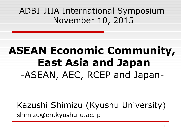### ADBI-JIIA International Symposium November 10, 2015

# **ASEAN Economic Community, East Asia and Japan** -ASEAN, AEC, RCEP and Japan-

Kazushi Shimizu (Kyushu University) shimizu@en.kyushu-u.ac.jp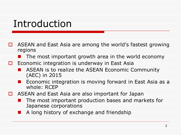### Introduction

- $\Box$  ASEAN and East Asia are among the world's fastest growing regions
	- $\blacksquare$  The most important growth area in the world economy
- $\Box$  Economic integration is underway in East Asia
	- ASEAN is to realize the ASEAN Economic Community (AEC) in 2015
	- Economic integration is moving forward in East Asia as a whole: RCEP
- $\Box$  ASEAN and East Asia are also important for Japan
	- **The most important production bases and markets for** Japanese corporations
		- A long history of exchange and friendship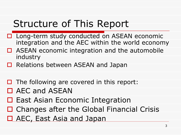## Structure of This Report

- □ Long-term study conducted on ASEAN economic integration and the AEC within the world economy
- $\Box$  ASEAN economic integration and the automobile industry
- Relations between ASEAN and Japan
- $\Box$  The following are covered in this report:
- □ AEC and ASEAN
- $\Box$  East Asian Economic Integration
- □ Changes after the Global Financial Crisis
- □ AEC, East Asia and Japan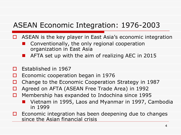### ASEAN Economic Integration: 1976-2003

- ASEAN is the key player in East Asia's economic integration
	- Conventionally, the only regional cooperation organization in East Asia
	- AFTA set up with the aim of realizing AEC in 2015
- $\Box$  Established in 1967
- $\Box$  Economic cooperation began in 1976
- $\Box$  Change to the Economic Cooperation Strategy in 1987
- □ Agreed on AFTA (ASEAN Free Trade Area) in 1992
- $\Box$  Membership has expanded to Indochina since 1995
	- Vietnam in 1995, Laos and Myanmar in 1997, Cambodia in 1999
- $\Box$  Economic integration has been deepening due to changes since the Asian financial crisis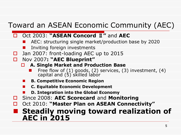### Toward an ASEAN Economic Community (AEC)

#### Oct 2003: **"ASEAN Concord** Ⅱ**"** and **AEC**

- AEC: structuring single market/production base by 2020
- Inviting foreign investments
- □ Jan 2007: front-loading AEC up to 2015
- Nov 2007**: "AEC Blueprint"**
	- **A. Single Market and Production Base**
		- Free flow of  $(1)$  goods,  $(2)$  services,  $(3)$  investment,  $(4)$ capital and (5) skilled labor
	- **B. Competitive Economic Region**
	- **C. Equitable Economic Development**
	- **D. Integration into the Global Economy**
- Since 2008: **AEC Scorecard** and **Monitoring**
- Oct 2010: **"Master Plan on ASEAN Connectivity"**

### **Steadily moving toward realization of AEC in 2015**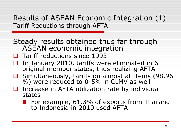Results of ASEAN Economic Integration (1) Tariff Reductions through AFTA

- Steady results obtained thus far through ASEAN economic integration
- $\Box$  Tariff reductions since 1993
- $\Box$  In January 2010, tariffs were eliminated in 6 original member states, thus realizing AFTA
- $\square$  Simultaneously, tariffs on almost all items (98.96 %) were reduced to 0-5% in CLMV as well
- $\Box$  Increase in AFTA utilization rate by individual states
	- **For example, 61.3% of exports from Thailand** to Indonesia in 2010 used AFTA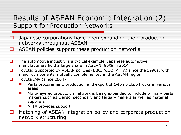### Results of ASEAN Economic Integration (2) Support for Production Networks

- $\Box$  Japanese corporations have been expanding their production networks throughout ASEAN
- $\Box$  ASEAN policies support these production networks
- $\Box$  The automotive industry is a typical example. Japanese automotive manufacturers hold a large share in ASEAN: 85% in 2014
- $\Box$  Toyota: Supported by ASEAN policies (BBC, AICO, AFTA) since the 1990s, with major components mutually complemented in the ASEAN region
- $\Box$  Toyota IMV (since 2004)
	- Parts procurement, production and export of 1-ton pickup trucks in various areas
	- **Multi-layered production network is being expanded to include primary parts** makers such as Denso, secondary and tertiary makers as well as material suppliers
	- AFTA provides support
- $\Box$  Matching of ASEAN integration policy and corporate production network structuring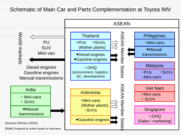#### Schematic of Main Car and Parts Complementation at Toyota IMV

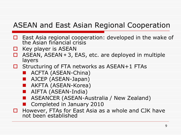### ASEAN and East Asian Regional Cooperation

- East Asia regional cooperation: developed in the wake of the Asian financial crisis
- Key player is ASEAN
- ASEAN, ASEAN+3, EAS, etc. are deployed in multiple layers
- $\Box$  Structuring of FTA networks as ASEAN+1 FTAs
	- **ACFTA (ASEAN-China)**
	- AJCEP (ASEAN-Japan)
	- AKFTA (ASEAN-Korea)
	- AIFTA (ASEAN-India)
	- ASEANCER (ASEAN-Australia / New Zealand)
	- Completed in January 2010
- $\Box$  However, FTAs for East Asia as a whole and CJK have not been established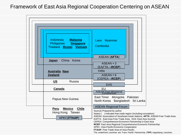#### Framework of East Asia Regional Cooperation Centering on ASEAN



The underlined countries are Trans Pacific Partnership (**TPP**) negotiating countries.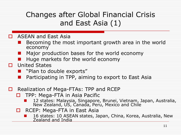### Changes after Global Financial Crisis and East Asia (1)

- **D** ASEAN and East Asia
	- Becoming the most important growth area in the world economy
	- Major production bases for the world economy
	- Huge markets for the world economy
- **D** United States
	- "Plan to double exports"
	- Participating in TPP, aiming to export to East Asia
- □ Realization of Mega-FTAs: TPP and RCEP
	- $\Box$  TPP: Mega-FTA in Asia Pacific
		- 12 states: Malaysia, Singapore, Brunei, Vietnam, Japan, Australia, New Zealand, US, Canada, Peru, Mexico and Chile
	- □ RCEP: Mega-FTA in East Asia
		- 16 states: 10 ASEAN states, Japan, China, Korea, Australia, New Zealand and India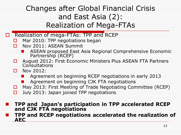### Changes after Global Financial Crisis and East Asia (2): Realization of Mega-FTAs

- □ Realization of mega-FTAs: TPP and RCEP
	- Mar 2010: TPP negotiations began
	- Nov 2011: ASEAN Summit
		- ASEAN proposed East Asia Regional Comprehensive Economic Partnership (RCEP)
	- □ August 2012: First Economic Ministers Plus ASEAN FTA Partners **Consultations**
	- **D** Nov 2012:
		- Agreement on beginning RCEP negotiations in early 2013
		- Agreement on beginning CJK FTA negotiations
	- $\Box$  May 2013: First Meeting of Trade Negotiating Committee (RCEP)
	- $\Box$  July 2013: Japan joined TPP negotiations

#### **TPP and Japan's participation in TPP accelerated RCEP and CJK FTA negotiations**

 **TPP and RCEP negotiations accelerated the realization of AEC**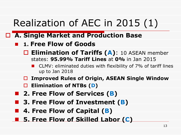# Realization of AEC in 2015 (1)

- **A. Single Market and Production Base**
	- **1. Free Flow of Goods**
		- Elimination of Tariffs (A): 10 ASEAN member states: **95.99% Tariff Lines** at **0%** in Jan 2015
			- CLMV: eliminated duties with flexibility of 7% of tariff lines up to Jan 2018
		- **Improved Rules of Origin, ASEAN Single Window**
		- **Elimination of NTBs (D)**
	- **2. Free Flow of Services (B)**
	- **3. Free Flow of Investment (B)**
	- 4. Free Flow of Capital (**B**)
	- **5. Free Flow of Skilled Labor (C)**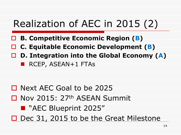# Realization of AEC in 2015 (2)

- **B. Competitive Economic Region (B)**
- **C. Equitable Economic Development (B)**
- **D. Integration into the Global Economy (A)** RCEP, ASEAN+1 FTAs

□ Next AEC Goal to be 2025 □ Nov 2015: 27<sup>th</sup> ASEAN Summit **N** "AEC Blueprint 2025" Dec 31, 2015 to be the Great Milestone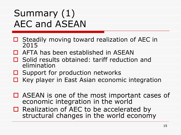## Summary (1) AEC and ASEAN

- $\Box$  Steadily moving toward realization of AEC in 2015
- AFTA has been established in ASEAN
- Solid results obtained: tariff reduction and elimination
- $\Box$  Support for production networks
- $\Box$  Key player in East Asian economic integration
- $\Box$  ASEAN is one of the most important cases of economic integration in the world
- □ Realization of AEC to be accelerated by structural changes in the world economy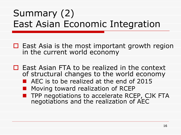## Summary (2) East Asian Economic Integration

- $\Box$  East Asia is the most important growth region in the current world economy
- $\Box$  East Asian FTA to be realized in the context of structural changes to the world economy
	- AEC is to be realized at the end of 2015
	- Moving toward realization of RCEP
	- TPP negotiations to accelerate RCEP, CJK FTA negotiations and the realization of AEC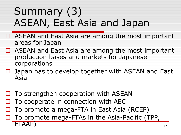# Summary (3) ASEAN, East Asia and Japan

- □ ASEAN and East Asia are among the most important areas for Japan
- $\Box$  ASEAN and East Asia are among the most important production bases and markets for Japanese corporations
- $\Box$  Japan has to develop together with ASEAN and East Asia
- $\Box$  To strengthen cooperation with ASEAN
- To cooperate in connection with AEC
- To promote a mega-FTA in East Asia (RCEP)
- $\Box$  To promote mega-FTAs in the Asia-Pacific (TPP, FTAAP)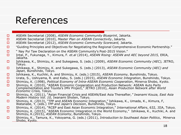## References

ASEAN Secretariat (2010), *Master Plan on ASEAN Connectivity*, Jakarta.

ASEAN Secretariat (2012), *ASEAN Economic Community Scorecard,* Jakarta.

 $\Box$  "Guiding Principles and Objectives for Negotiating the Regional Comprehensive Economic Partnership."

- **D** Nay Pyi Taw Declaration on the ASEAN Community's Post-2015 Vision."
- Intal, P., Fukunaga, Y., Kimura, F. *et.al* (2014), *ASEAN Rising: ASEAN and AEC beyond 2015,* ERIA, Jakarta.
- Ishikawa, K., Shimizu, K. and Sukegawa, S. (eds.) (2009), *ASEAN Economic Community (AEC),* JETRO, Tokyo.
- Ishikawa, K., Shimizu, K. and Sukegawa, S. (eds.) (2013), *ASEAN Economic Community (AEC) and Japan,* Bunshindo, Tokyo.
- Ishikawa, K., Kuchiki, A. and Shimizu, K. (eds.) (2015), *ASEAN Economy,* Bunshindo, Tokyo.
- Urata, S., Ushiyama, R. and Kabu, S. (eds.) (2015), *ASEAN Economic Integration*, Bunshindo, Tokyo.
- Shimizu, K. (1998), *Political Economy of Intra-ASEAN Economic Cooperation*, Minerva Shobo, Kyoto.
- □ Shimizu, K. (2010), "ASEAN Economic Cooperation and Production Network: ASEAN Auto Parts Complementation and Toyota's IMV Project," JETRO (2010), *Asian Production Network after World Economic Crisis,* Tokyo.
- Shimizu, K. (2011), "Asian Financial Crisis and ASEAN/East Asia Thereafter*," Iwanami Kouza, East Asia Modern History Vol. 10,* Iwanami Shoten, Tokyo.
- □ Shimizu, K. (2013), "TPP and ASEAN Economic Integration," Ishikawa, K., Umada, K., Kimura, F, Watanabe, Y, (eds.) *TPP and Japan's Decision*, Bunshindo, Tokyo.
- Shimizu, K. (2014), "RCEP and East Asian Economic Integration," *International Affairs*, 632, JIIA, Tokyo.
- □ Shimizu, K. (2015), "ASEAN Economic Integration in the World Economy," Ishikawa, K., Kuchiki, A. and Shimizu, K.(2015), *ASEAN Economy*, Bunshindo, Tokyo.
- Shimizu, K., Tamura, K., Yokoyama, G. (eds.) (2011), *Introduction to Southeast Asian Politics*, Minerva Shobo, Kyoto.